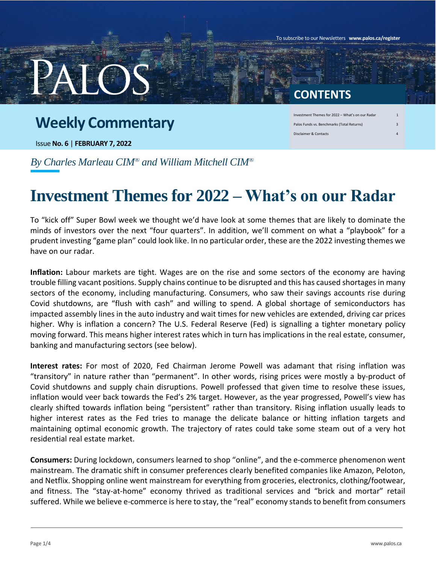# **Weekly Commentary**

Issue **No. 6** | **FEBRUARY 7, 2022**

### **CONTENTS**

To subscribe to our Newsletters **www.palos.ca/register**

| Investment Themes for 2022 - What's on our Radar |  |
|--------------------------------------------------|--|
| Palos Funds vs. Benchmarks (Total Returns)       |  |
| Disclaimer & Contacts                            |  |

*By Charles Marleau CIM® and William Mitchell CIM®*

# **Investment Themes for 2022 – What's on our Radar**

To "kick off" Super Bowl week we thought we'd have look at some themes that are likely to dominate the minds of investors over the next "four quarters". In addition, we'll comment on what a "playbook" for a prudent investing "game plan" could look like. In no particular order, these are the 2022 investing themes we have on our radar.

**Inflation:** Labour markets are tight. Wages are on the rise and some sectors of the economy are having trouble filling vacant positions. Supply chains continue to be disrupted and this has caused shortages in many sectors of the economy, including manufacturing. Consumers, who saw their savings accounts rise during Covid shutdowns, are "flush with cash" and willing to spend. A global shortage of semiconductors has impacted assembly lines in the auto industry and wait times for new vehicles are extended, driving car prices higher. Why is inflation a concern? The U.S. Federal Reserve (Fed) is signalling a tighter monetary policy moving forward. This means higher interest rates which in turn has implications in the real estate, consumer, banking and manufacturing sectors (see below).

**Interest rates:** For most of 2020, Fed Chairman Jerome Powell was adamant that rising inflation was "transitory" in nature rather than "permanent". In other words, rising prices were mostly a by-product of Covid shutdowns and supply chain disruptions. Powell professed that given time to resolve these issues, inflation would veer back towards the Fed's 2% target. However, as the year progressed, Powell's view has clearly shifted towards inflation being "persistent" rather than transitory. Rising inflation usually leads to higher interest rates as the Fed tries to manage the delicate balance or hitting inflation targets and maintaining optimal economic growth. The trajectory of rates could take some steam out of a very hot residential real estate market.

**Consumers:** During lockdown, consumers learned to shop "online", and the e-commerce phenomenon went mainstream. The dramatic shift in consumer preferences clearly benefited companies like Amazon, Peloton, and Netflix. Shopping online went mainstream for everything from groceries, electronics, clothing/footwear, and fitness. The "stay-at-home" economy thrived as traditional services and "brick and mortar" retail suffered. While we believe e-commerce is here to stay, the "real" economy stands to benefit from consumers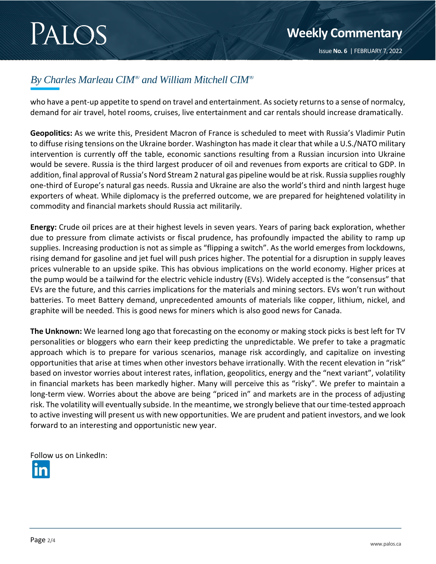# PALOS

 $\frac{1}{2}$ 

#### *By Charles Marleau CIM® and William Mitchell CIM®*

who have a pent-up appetite to spend on travel and entertainment. As society returns to a sense of normalcy, demand for air travel, hotel rooms, cruises, live entertainment and car rentals should increase dramatically.

**Geopolitics:** As we write this, President Macron of France is scheduled to meet with Russia's Vladimir Putin to diffuse rising tensions on the Ukraine border. Washington has made it clear that while a U.S./NATO military intervention is currently off the table, economic sanctions resulting from a Russian incursion into Ukraine would be severe. Russia is the third largest producer of oil and revenues from exports are critical to GDP. In addition, final approval of Russia's Nord Stream 2 natural gas pipeline would be at risk. Russia supplies roughly one-third of Europe's natural gas needs. Russia and Ukraine are also the world's third and ninth largest huge exporters of wheat. While diplomacy is the preferred outcome, we are prepared for heightened volatility in commodity and financial markets should Russia act militarily.

**Energy:** Crude oil prices are at their highest levels in seven years. Years of paring back exploration, whether due to pressure from climate activists or fiscal prudence, has profoundly impacted the ability to ramp up supplies. Increasing production is not as simple as "flipping a switch". As the world emerges from lockdowns, rising demand for gasoline and jet fuel will push prices higher. The potential for a disruption in supply leaves prices vulnerable to an upside spike. This has obvious implications on the world economy. Higher prices at the pump would be a tailwind for the electric vehicle industry (EVs). Widely accepted is the "consensus" that EVs are the future, and this carries implications for the materials and mining sectors. EVs won't run without batteries. To meet Battery demand, unprecedented amounts of materials like copper, lithium, nickel, and graphite will be needed. This is good news for miners which is also good news for Canada.

**The Unknown:** We learned long ago that forecasting on the economy or making stock picks is best left for TV personalities or bloggers who earn their keep predicting the unpredictable. We prefer to take a pragmatic approach which is to prepare for various scenarios, manage risk accordingly, and capitalize on investing opportunities that arise at times when other investors behave irrationally. With the recent elevation in "risk" based on investor worries about interest rates, inflation, geopolitics, energy and the "next variant", volatility in financial markets has been markedly higher. Many will perceive this as "risky". We prefer to maintain a long-term view. Worries about the above are being "priced in" and markets are in the process of adjusting risk. The volatility will eventually subside. In the meantime, we strongly believe that our time-tested approach to active investing will present us with new opportunities. We are prudent and patient investors, and we look forward to an interesting and opportunistic new year.

Follow us on LinkedIn:

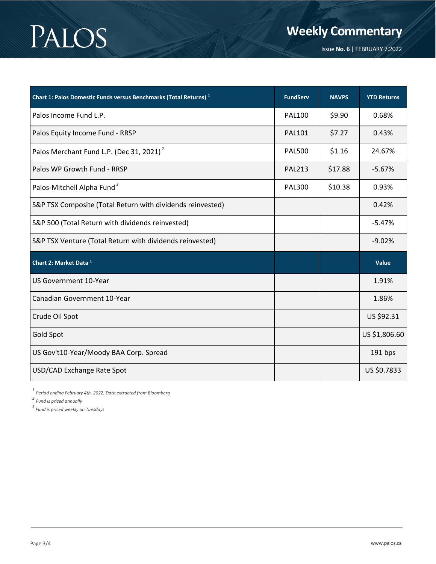# PALOS

## **Weekly Commentary**

Issue **No. 6** | FEBRUARY 7,2022

2019

| Chart 1: Palos Domestic Funds versus Benchmarks (Total Returns) <sup>1</sup> | <b>FundServ</b> | <b>NAVPS</b> | <b>YTD Returns</b> |
|------------------------------------------------------------------------------|-----------------|--------------|--------------------|
| Palos Income Fund L.P.                                                       | <b>PAL100</b>   | \$9.90       | 0.68%              |
| Palos Equity Income Fund - RRSP                                              | <b>PAL101</b>   | \$7.27       | 0.43%              |
| Palos Merchant Fund L.P. (Dec 31, 2021) <sup>2</sup>                         | <b>PAL500</b>   | \$1.16       | 24.67%             |
| Palos WP Growth Fund - RRSP                                                  | <b>PAL213</b>   | \$17.88      | $-5.67%$           |
| Palos-Mitchell Alpha Fund <sup>3</sup>                                       | <b>PAL300</b>   | \$10.38      | 0.93%              |
| S&P TSX Composite (Total Return with dividends reinvested)                   |                 |              | 0.42%              |
| S&P 500 (Total Return with dividends reinvested)                             |                 |              | $-5.47%$           |
| S&P TSX Venture (Total Return with dividends reinvested)                     |                 |              | $-9.02%$           |
| Chart 2: Market Data <sup>1</sup>                                            |                 |              | Value              |
| US Government 10-Year                                                        |                 |              | 1.91%              |
| Canadian Government 10-Year                                                  |                 |              | 1.86%              |
| Crude Oil Spot                                                               |                 |              | US \$92.31         |
| Gold Spot                                                                    |                 |              | US \$1,806.60      |
| US Gov't10-Year/Moody BAA Corp. Spread                                       |                 |              | 191 bps            |
| USD/CAD Exchange Rate Spot                                                   |                 |              | US \$0.7833        |

*1 Period ending February 4th, 2022. Data extracted from Bloomberg*

*2 Fund is priced annually*

*3 Fund is priced weekly on Tuesdays*